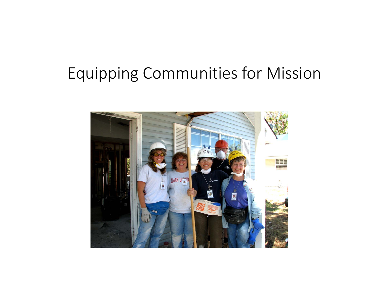## Equipping Communities for Mission

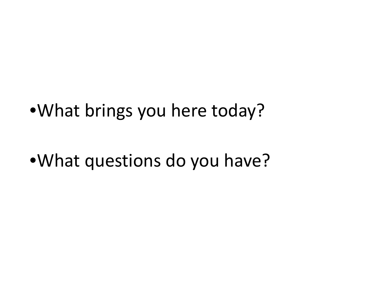•What brings you here today?

## •What questions do you have?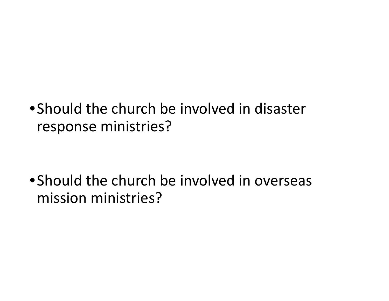•Should the church be involved in disaster response ministries?

•Should the church be involved in overseas mission ministries?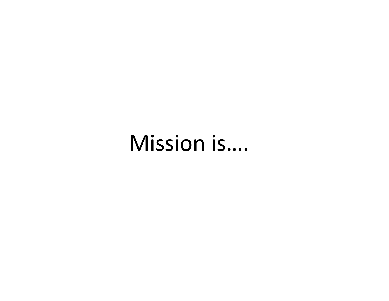# Mission is….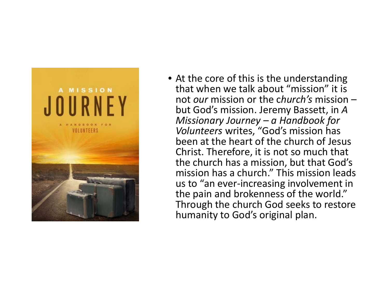

• At the core of this is the understanding that when we talk about "mission" it is not *our* mission or the <sup>c</sup>*hurch's* mission – but God's mission. Jeremy Bassett, in *A Missionary Journey – <sup>a</sup> Handbook for Volunteers* writes, "God's mission has been at the heart of the church of Jesus Christ. Therefore, it is not so much that the church has <sup>a</sup> mission, but that God's mission has <sup>a</sup> church." This mission leads us to "an ever‐increasing involvement in the pain and brokenness of the world." Through the church God seeks to restore humanity to God's original plan.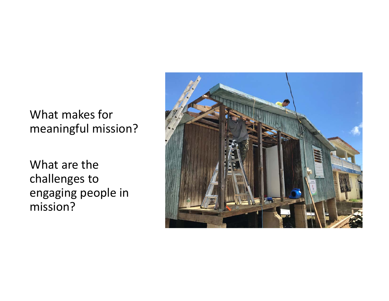#### What makes for meaningful mission?

What are the challenges to engaging people in mission?

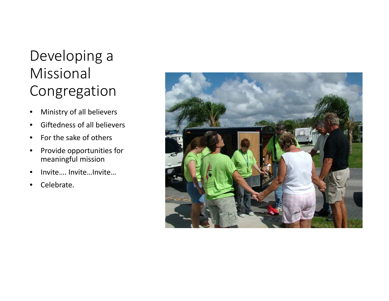### Developing a Missional Congregation

- •Ministry of all believers
- •**•** Giftedness of all believers
- •• For the sake of others
- •• Provide opportunities for meaningful mission
- •Invite…. Invite…Invite…
- •Celebrate.

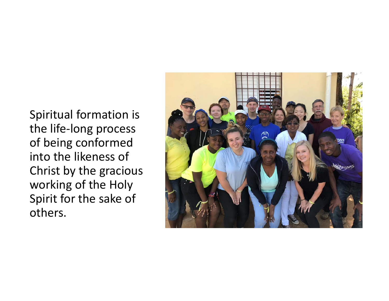Spiritual formation is the life ‐long process of being conformed into the likeness of Christ by the gracious working of the Holy Spirit for the sake of others.

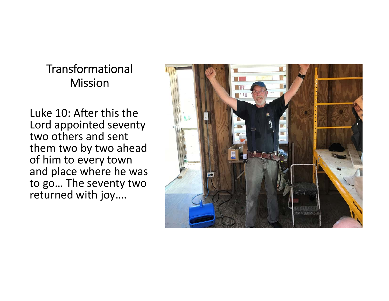#### Transformational Mission

Luke 10: After this the Lord appointed seventy two others and sent them two by two ahead of him to every town and place where he was to go… The seventy two returned with joy….

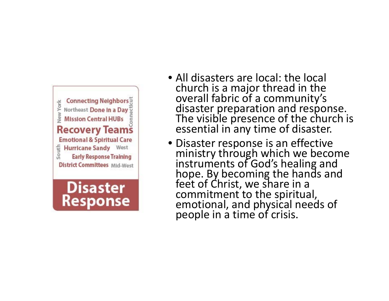

**Disaster** 

**Response** 

- All disasters are local: the local church is a major thread in the overalloverall fabric of a community's<br>disaster preparation and respo disaster preparation and response.<br>The visible presence of the church The visible presence of the church is<br>essential in any time of disaster. I in any time of disaster.
- Disaster response is an effective ministry through which we become instruments of God's healing and hope. By becoming the hands and t of Christ, we share in a commitment toemotional, and physical needs of a time of crisis.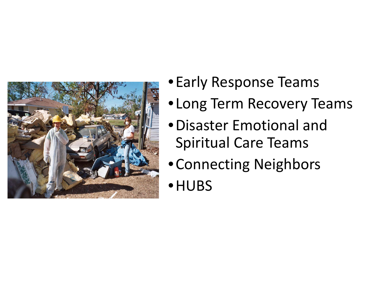

- •Early Response Teams
- •Long Term Recovery Teams
- •Disaster Emotional andSpiritual Care Teams
- •Connecting Neighbors
- •HUBS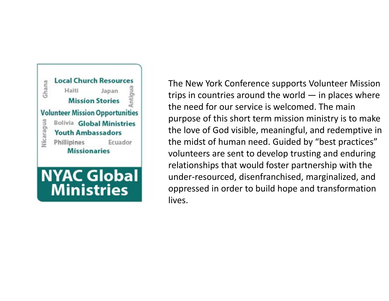

The New York Conference supports Volunteer Mission trips in countries around the world  $-$  in places where the need for our service is welcomed. The main purpose of this short term mission ministry is to make the love of God visible, meaningful, and redemptive in the midst of human need. Guided by "best practices" volunteers are sent to develop trusting and enduring relationships that would foster partnership with the under‐resourced, disenfranchised, marginalized, and oppressed in order to build hope and transformation lives.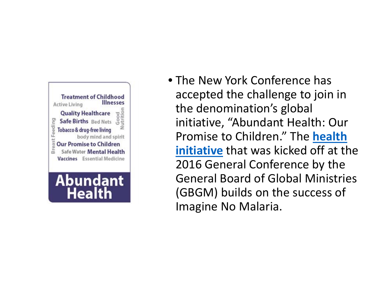

**Health** 

• The New York Conference has accepted the challenge to join in the denomination's global initiative, "Abundant Health: Our Promise to Children." The **healthinitiative** that was kicked off at the 2016 General Conference by the General Board of Global Ministries (GBGM) builds on the success of Imagine No Malaria.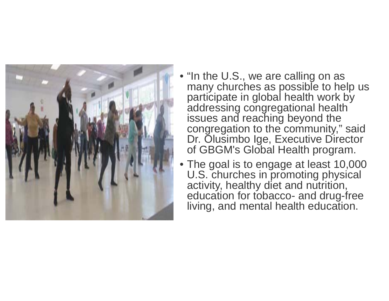

- "In the U.S., we are calling on as many churches as possible to help us participate in global health work by addressing congregational health issues and reaching beyond the congregation to the community," said Dr. Olusimbo Ige, Executive Director of GBGM's Global Health program.
- The goal is to engage at least 10,000 U.S. churches in promoting physical activity, healthy diet and nutrition, education for tobacco- and drug-free living, and mental health education.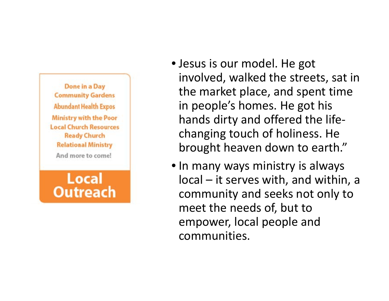Done in a Day **Community Gardens Abundant Health Expos Ministry with the Poor Local Church Resources Ready Church Relational Ministry** And more to come!

Local **Outreach** 

- Jesus is our model. He got involved, walked the streets, sat in the market place, and spent time in people's homes. He got his hands dirty and offered the life‐ changing touch of holiness. He brought heaven down to earth."
- In many ways ministry is always local – it serves with, and within, <sup>a</sup> community and seeks not only to meet the needs of, but to empower, local people and communities.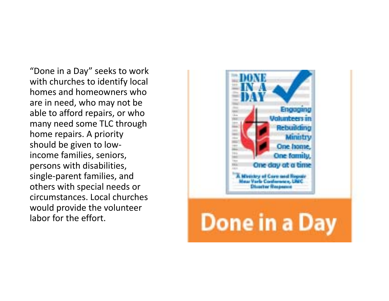"Done in <sup>a</sup> Day" seeks to work with churches to identify local homes and homeowners whoare in need, who may not be able to afford repairs, or who many need some TLC through home repairs. A priority should be given to low‐ income families, seniors, persons with disabilities, single‐parent families, and others with special needs or circumstances. Local churcheswould provide the volunteer labor for the effort.

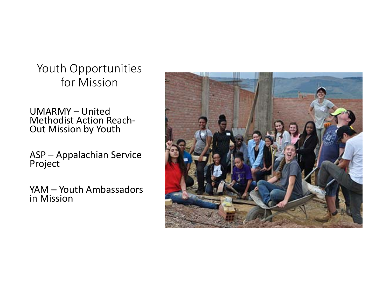Youth Opportunities for Mission

UMARMY – UnitedMethodist Action Reach‐ Out Mission by Youth

ASP – Appalachian Service Project

YAM – Youth Ambassadors in Mission